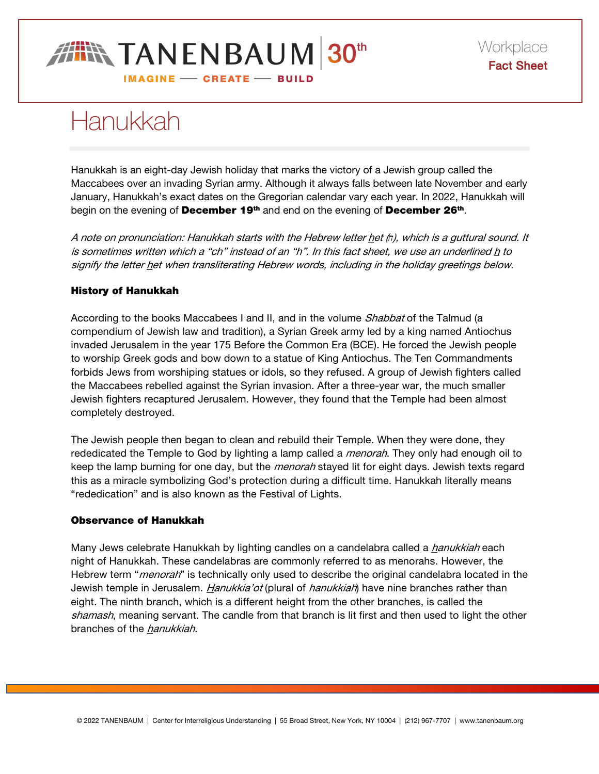

# Hanukkah

Hanukkah is an eight-day Jewish holiday that marks the victory of a Jewish group called the Maccabees over an invading Syrian army. Although it always falls between late November and early January, Hanukkah's exact dates on the Gregorian calendar vary each year. In 2022, Hanukkah will begin on the evening of December 19<sup>th</sup> and end on the evening of December 26<sup>th</sup>.

A note on pronunciation: Hanukkah starts with the Hebrew letter het (*ח*(, which is a guttural sound. It is sometimes written which a "ch" instead of an "h". In this fact sheet, we use an underlined  $h$  to signify the letter het when transliterating Hebrew words, including in the holiday greetings below.

## History of Hanukkah

According to the books Maccabees I and II, and in the volume *Shabbat* of the Talmud (a compendium of Jewish law and tradition), a Syrian Greek army led by a king named Antiochus invaded Jerusalem in the year 175 Before the Common Era (BCE). He forced the Jewish people to worship Greek gods and bow down to a statue of King Antiochus. The Ten Commandments forbids Jews from worshiping statues or idols, so they refused. A group of Jewish fighters called the Maccabees rebelled against the Syrian invasion. After a three-year war, the much smaller Jewish fighters recaptured Jerusalem. However, they found that the Temple had been almost completely destroyed.

The Jewish people then began to clean and rebuild their Temple. When they were done, they rededicated the Temple to God by lighting a lamp called a *menorah*. They only had enough oil to keep the lamp burning for one day, but the *menorah* stayed lit for eight days. Jewish texts regard this as a miracle symbolizing God's protection during a difficult time. Hanukkah literally means "rededication" and is also known as the Festival of Lights.

#### Observance of Hanukkah

Many Jews celebrate Hanukkah by lighting candles on a candelabra called a *hanukkiah* each night of Hanukkah. These candelabras are commonly referred to as menorahs. However, the Hebrew term "*menorah*" is technically only used to describe the original candelabra located in the Jewish temple in Jerusalem. *Hanukkia'ot* (plural of *hanukkiah*) have nine branches rather than eight. The ninth branch, which is a different height from the other branches, is called the shamash, meaning servant. The candle from that branch is lit first and then used to light the other branches of the *hanukkiah*.